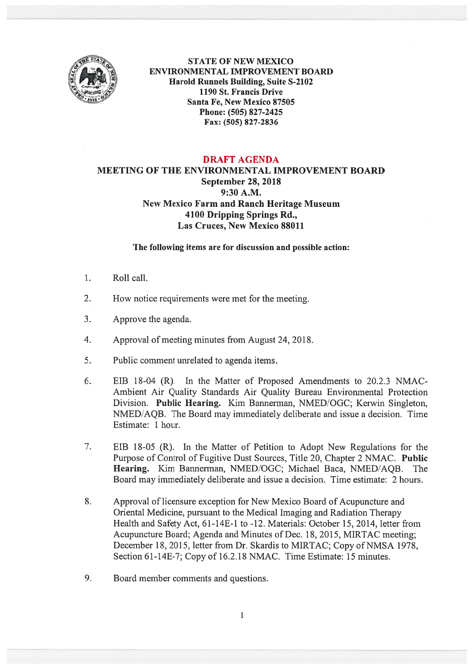

STATE OF NEW MEXICO ENVIRONMENTAL IMPROVEMENT BOARD Harold Runnels Building, Suite S-2102 1190 St. Francis Drive Santa Fe, New Mexico 87505 Phone: (505) 827-2425 Fax: (505) 827-2836

## DRAFT AGENDA

## MEETING OF THE ENVIRONMENTAL IMPROVEMENT BOARD September 28, 2018 9:30 A.M. New Mexico Farm and Ranch Heritage Museum 4100 Dripping Springs Rd., Las Cruces, New Mexico 88011

## The following items are for discussion and possible action:

- $\mathbf{1}$ . Roll call.
- 2. How notice requirements were met for the meeting.
- 3. Approve the agenda.
- 4. Approval of meeting minutes from August 24, 2018.
- 5. Public comment unrelated to agenda items.
- 6. EIB 18-04 (R). In the Matter of Proposed Amendments to 20.2.3 NMAC Ambient Air Quality Standards Air Quality Bureau Environmental Protection Division. Public Hearing. Kim Bannerman, NMED/OGC; Kerwin Singleton, NMED/AQB. The Board may immediately deliberate and issue <sup>a</sup> decision. Time Estimate: 1 hour.
- 7. EIB 18-05 (R). In the Matter of Petition to Adopt New Regulations for the Purpose of Control of Fugitive Dust Sources, Title 20, Chapter 2 NMAC. Public Hearing. Kim Bannerman, NMED/OGC; Michael Baca, NMED/AQB. The Board may immediately deliberate and issue <sup>a</sup> decision. Time estimate: 2 hours.
- 8. Approval of licensure exception for New Mexico Board of Acupuncture and Oriental Medicine, pursuan<sup>t</sup> to the Medical Imaging and Radiation Therapy Health and Safety Act, 61-14E-1 to -12. Materials: October 15, 2014, letter from Acupuncture Board; Agenda and Minutes of Dec. 18, 2015, MIRTAC meeting; December 18, 2015, letter from Dr. Skardis to MIRTAC; Copy of NMSA 1978, Section 61-14E-7; Copy of 16.2.18 NMAC. Time Estimate: 15 minutes.
- 9. Board member comments and questions.